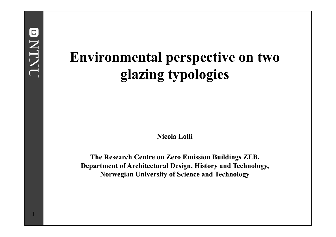# **Environmental perspective on two glazing typologies**

**Nicola Lolli**

**The Research Centre on Zero Emission Buildings ZEB, Department of Architectural Design, History and Technology, Norwegian University of Science and Technology**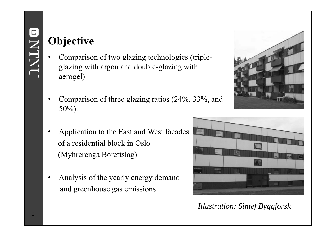## **Objective**

- • Comparison of two glazing technologies (tripleglazing with argon and double-glazing with aerogel).
- • Comparison of three glazing ratios (24%, 33%, and 50%).
- • Application to the East and West facades of a residential block in Oslo (Myhrerenga Borettslag).
- • Analysis of the yearly energy demand and greenhouse gas emissions.





*Illustration: Sintef Byggforsk*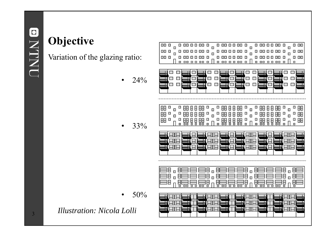# **Objective**

Variation of the glazing ratio:

 $\bullet$ • 24%

•  $33\%$ 

 $\bullet$ •  $50%$ 

*Illustration: Nicola Lolli*

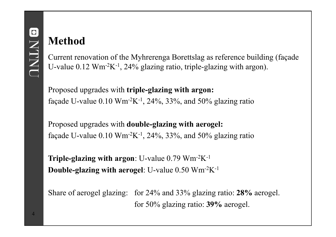#### **Method**

Current renovation of the Myhrerenga Borettslag as reference building (façade U-value  $0.12 \text{ Wm}^{-2}\text{K}^{-1}$ , 24% glazing ratio, triple-glazing with argon).

Proposed upgrades with **triple-glazing with argon:** façade U-value  $0.10 \text{ Wm}^2\text{K}^{-1}$ , 24%, 33%, and 50% glazing ratio

Proposed upgrades with **double-glazing with aerogel:** façade U-value  $0.10 \text{ Wm}^2\text{K}^{-1}$ , 24%, 33%, and 50% glazing ratio

**Triple-glazing with argon**: U-value 0.79 Wm-2K-1 **Double-glazing with aerogel**: U-value 0.50 Wm-2K-1

Share of aerogel glazing: for 24% and 33% glazing ratio: **28%** aerogel. for 50% glazing ratio: **39%** aerogel.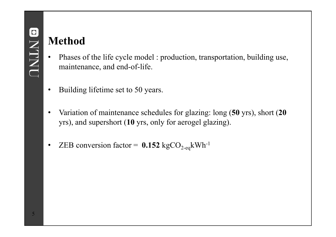#### **Method**

- • Phases of the life cycle model : production, transportation, building use, maintenance, and end-of-life.
- $\bullet$ Building lifetime set to 50 years.
- • Variation of maintenance schedules for glazing: long (**50** yrs), short (**20** yrs), and supershort (**10** yrs, only for aerogel glazing).
- $\bullet$ • ZEB conversion factor =  $0.152 \text{ kgCO}_{2-\text{eq}} \text{kWh}^{-1}$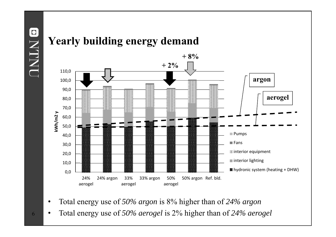ONLINO



- •Total energy use of *50% argon* is 8% higher than of *24% argon*
- •Total energy use of *50% aerogel* is 2% higher than of *24% aerogel*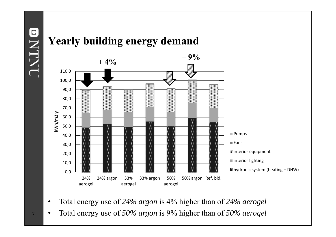**ONTNU** 



- •Total energy use of *24% argon* is 4% higher than of *24% aerogel*
- •Total energy use of *50% argon* is 9% higher than of *50% aerogel*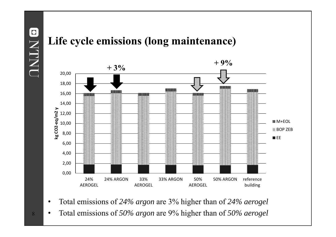ONLINO



- $\bullet$ Total emissions of *24% argon* are 3% higher than of *24% aerogel*
- •Total emissions of *50% argon* are 9% higher than of *50% aerogel*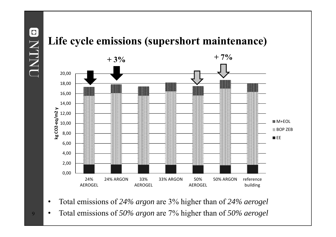ONLINO



- $\bullet$ Total emissions of *24% argon* are 3% higher than of *24% aerogel*
- •Total emissions of *50% argon* are 7% higher than of *50% aerogel*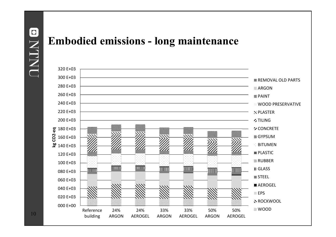# $\blacksquare$ **NLINI**

#### **Embodied emissions - long maintenance**



 $10\,$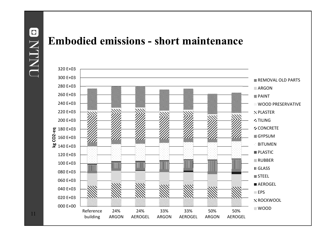# $\bullet$ **NLIN**

#### **Embodied emissions - short maintenance**

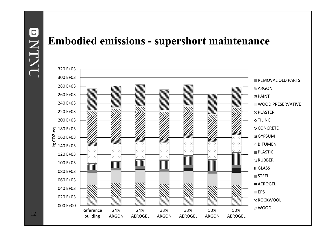# $\bullet$ **NLIN**

#### **Embodied emissions - supershort maintenance**

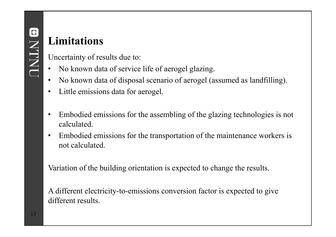## **Limitations**

Uncertainty of results due to:

- •No known data of service life of aerogel glazing.
- $\bullet$ No known data of disposal scenario of aerogel (assumed as landfilling).
- •Little emissions data for aerogel.
- • Embodied emissions for the assembling of the glazing technologies is not calculated.
- $\bullet$  Embodied emissions for the transportation of the maintenance workers is not calculated.

Variation of the building orientation is expected to change the results.

A different electricity-to-emissions conversion factor is expected to give different results.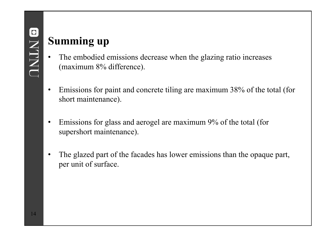#### **Summing up**

- • The embodied emissions decrease when the glazing ratio increases (maximum 8% difference).
- $\bullet$  Emissions for paint and concrete tiling are maximum 38% of the total (for short maintenance).
- • Emissions for glass and aerogel are maximum 9% of the total (for supershort maintenance).
- • The glazed part of the facades has lower emissions than the opaque part, per unit of surface.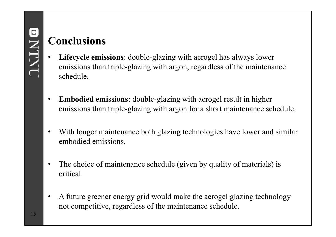## **Conclusions**

- • **Lifecycle emissions**: double-glazing with aerogel has always lower emissions than triple-glazing with argon, regardless of the maintenance schedule.
- $\bullet$  **Embodied emissions**: double-glazing with aerogel result in higher emissions than triple-glazing with argon for a short maintenance schedule.
- • With longer maintenance both glazing technologies have lower and similar embodied emissions.
- • The choice of maintenance schedule (given by quality of materials) is critical.
- • A future greener energy grid would make the aerogel glazing technology not competitive, regardless of the maintenance schedule.